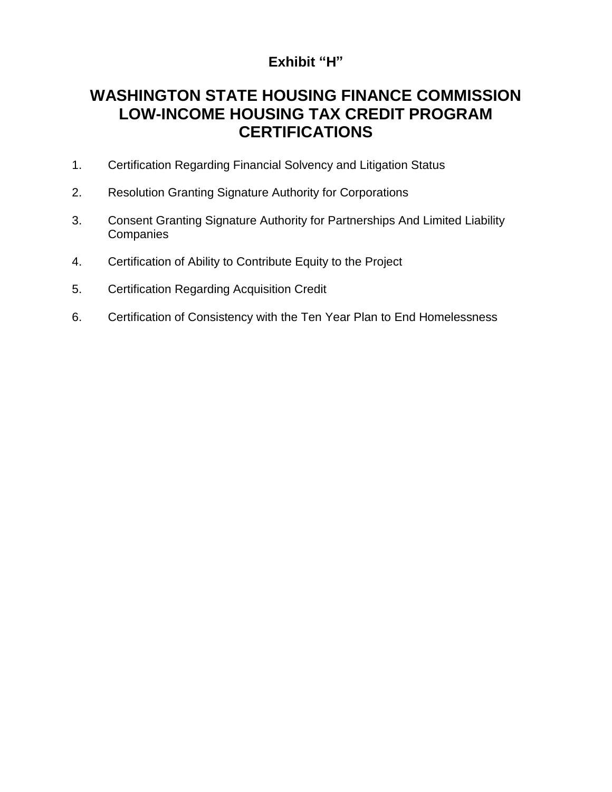### **Exhibit "H"**

# **WASHINGTON STATE HOUSING FINANCE COMMISSION LOW-INCOME HOUSING TAX CREDIT PROGRAM CERTIFICATIONS**

- 1. Certification Regarding Financial Solvency and Litigation Status
- 2. Resolution Granting Signature Authority for Corporations
- 3. Consent Granting Signature Authority for Partnerships And Limited Liability **Companies**
- 4. Certification of Ability to Contribute Equity to the Project
- 5. Certification Regarding Acquisition Credit
- 6. Certification of Consistency with the Ten Year Plan to End Homelessness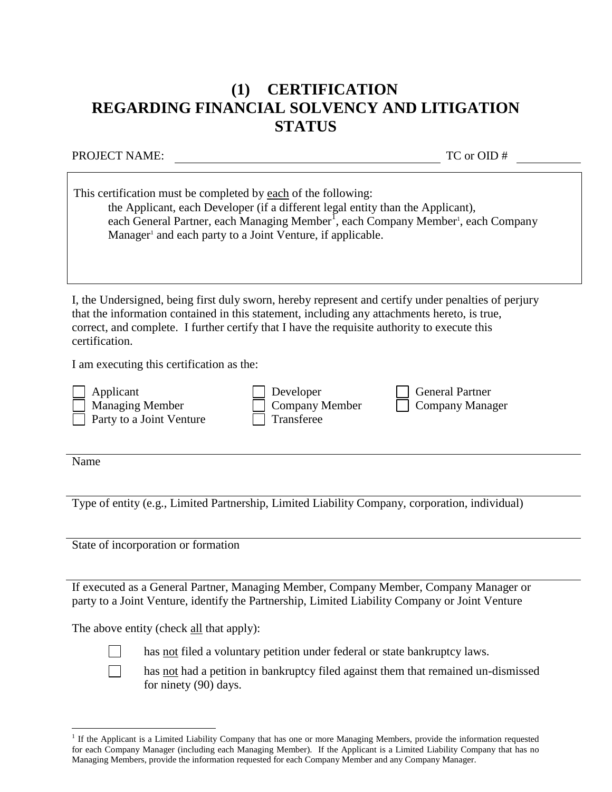# **(1) CERTIFICATION REGARDING FINANCIAL SOLVENCY AND LITIGATION STATUS**

PROJECT NAME: TC or OID #

| This certification must be completed by each of the following:<br>the Applicant, each Developer (if a different legal entity than the Applicant),<br>each General Partner, each Managing Member <sup>1</sup> , each Company Member <sup>1</sup> , each Company<br>Manager <sup>1</sup> and each party to a Joint Venture, if applicable. |  |  |
|------------------------------------------------------------------------------------------------------------------------------------------------------------------------------------------------------------------------------------------------------------------------------------------------------------------------------------------|--|--|
| I, the Undersigned, being first duly sworn, hereby represent and certify under penalties of perjury<br>that the information contained in this statement, including any attachments hereto, is true,<br>correct, and complete. I further certify that I have the requisite authority to execute this<br>certification.                    |  |  |
| I am executing this certification as the:                                                                                                                                                                                                                                                                                                |  |  |
| <b>General Partner</b><br>Applicant<br>Developer<br><b>Company Member</b><br><b>Managing Member</b><br><b>Company Manager</b><br>Transferee<br>Party to a Joint Venture                                                                                                                                                                  |  |  |
| Name                                                                                                                                                                                                                                                                                                                                     |  |  |
|                                                                                                                                                                                                                                                                                                                                          |  |  |
| Type of entity (e.g., Limited Partnership, Limited Liability Company, corporation, individual)                                                                                                                                                                                                                                           |  |  |

State of incorporation or formation

If executed as a General Partner, Managing Member, Company Member, Company Manager or party to a Joint Venture, identify the Partnership, Limited Liability Company or Joint Venture

The above entity (check all that apply):



has not filed a voluntary petition under federal or state bankruptcy laws.



 $\overline{a}$ 

has not had a petition in bankruptcy filed against them that remained un-dismissed

for ninety (90) days.

<sup>&</sup>lt;sup>1</sup> If the Applicant is a Limited Liability Company that has one or more Managing Members, provide the information requested for each Company Manager (including each Managing Member). If the Applicant is a Limited Liability Company that has no Managing Members, provide the information requested for each Company Member and any Company Manager.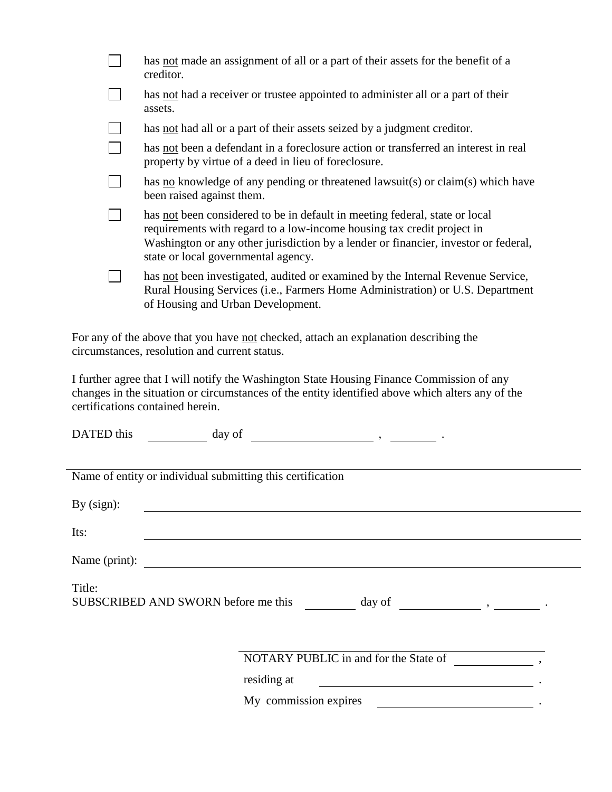| has not made an assignment of all or a part of their assets for the benefit of a<br>creditor.                                                                                                                                                                                       |
|-------------------------------------------------------------------------------------------------------------------------------------------------------------------------------------------------------------------------------------------------------------------------------------|
| has not had a receiver or trustee appointed to administer all or a part of their<br>assets.                                                                                                                                                                                         |
| has <u>not</u> had all or a part of their assets seized by a judgment creditor.                                                                                                                                                                                                     |
| has not been a defendant in a foreclosure action or transferred an interest in real<br>property by virtue of a deed in lieu of foreclosure.                                                                                                                                         |
| has no knowledge of any pending or threatened lawsuit(s) or claim(s) which have<br>been raised against them.                                                                                                                                                                        |
| has not been considered to be in default in meeting federal, state or local<br>requirements with regard to a low-income housing tax credit project in<br>Washington or any other jurisdiction by a lender or financier, investor or federal,<br>state or local governmental agency. |
| has not been investigated, audited or examined by the Internal Revenue Service,<br>Rural Housing Services (i.e., Farmers Home Administration) or U.S. Department<br>of Housing and Urban Development.                                                                               |
| For any of the above that you have not checked, attach an explanation describing the                                                                                                                                                                                                |

circumstances, resolution and current status.

I further agree that I will notify the Washington State Housing Finance Commission of any changes in the situation or circumstances of the entity identified above which alters any of the certifications contained herein.

| DATED this                                                                                                                                                                                                                               | day of                                                     |  |
|------------------------------------------------------------------------------------------------------------------------------------------------------------------------------------------------------------------------------------------|------------------------------------------------------------|--|
|                                                                                                                                                                                                                                          |                                                            |  |
|                                                                                                                                                                                                                                          | Name of entity or individual submitting this certification |  |
| By $(sign)$ :                                                                                                                                                                                                                            |                                                            |  |
| Its:                                                                                                                                                                                                                                     |                                                            |  |
|                                                                                                                                                                                                                                          | Name (print):                                              |  |
| Title:<br>SUBSCRIBED AND SWORN before me this day of day of the contract of the contract of the contract of the contract of the contract of the contract of the contract of the contract of the contract of the contract of the contract |                                                            |  |
|                                                                                                                                                                                                                                          |                                                            |  |
|                                                                                                                                                                                                                                          | NOTARY PUBLIC in and for the State of                      |  |
|                                                                                                                                                                                                                                          | residing at                                                |  |
|                                                                                                                                                                                                                                          | My commission expires                                      |  |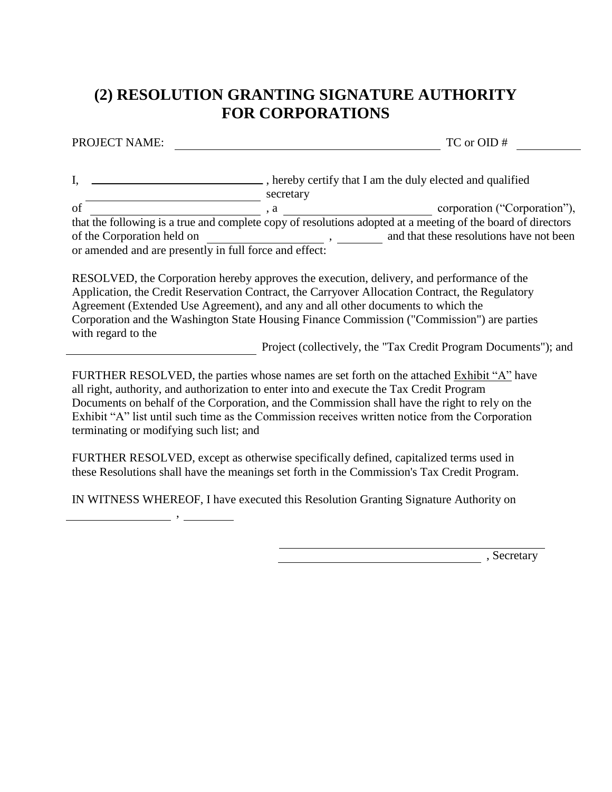# **(2) RESOLUTION GRANTING SIGNATURE AUTHORITY FOR CORPORATIONS**

PROJECT NAME: TC or OID #

I, \_\_\_\_\_\_\_\_\_\_\_\_\_\_\_\_\_\_\_\_\_\_\_\_\_\_\_\_\_\_\_\_, hereby certify that I am the duly elected and qualified **secretary** of  $\overline{\hspace{1cm}}$ , a  $\overline{\hspace{1cm}}$ , a corporation ("Corporation"), that the following is a true and complete copy of resolutions adopted at a meeting of the board of directors of the Corporation held on , and that these resolutions have not been or amended and are presently in full force and effect:

RESOLVED, the Corporation hereby approves the execution, delivery, and performance of the Application, the Credit Reservation Contract, the Carryover Allocation Contract, the Regulatory Agreement (Extended Use Agreement), and any and all other documents to which the Corporation and the Washington State Housing Finance Commission ("Commission") are parties with regard to the

Project (collectively, the "Tax Credit Program Documents"); and

FURTHER RESOLVED, the parties whose names are set forth on the attached Exhibit "A" have all right, authority, and authorization to enter into and execute the Tax Credit Program Documents on behalf of the Corporation, and the Commission shall have the right to rely on the Exhibit "A" list until such time as the Commission receives written notice from the Corporation terminating or modifying such list; and

FURTHER RESOLVED, except as otherwise specifically defined, capitalized terms used in these Resolutions shall have the meanings set forth in the Commission's Tax Credit Program.

IN WITNESS WHEREOF, I have executed this Resolution Granting Signature Authority on

,

 $\overline{\phantom{a}}$ , Secretary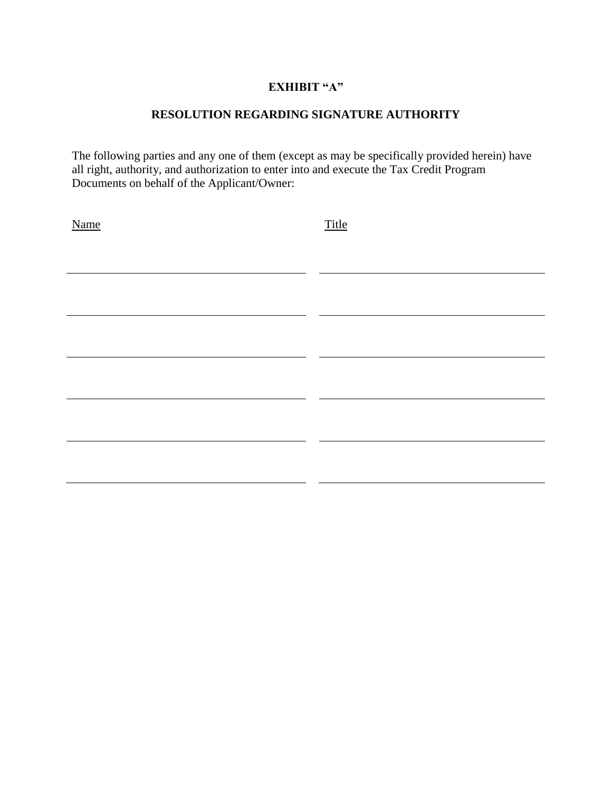#### **EXHIBIT "A"**

#### **RESOLUTION REGARDING SIGNATURE AUTHORITY**

The following parties and any one of them (except as may be specifically provided herein) have all right, authority, and authorization to enter into and execute the Tax Credit Program Documents on behalf of the Applicant/Owner:

| <b>Name</b> | <b>Title</b> |
|-------------|--------------|
|             |              |
|             |              |
|             |              |
|             |              |
|             |              |
|             |              |
|             |              |
|             |              |
|             |              |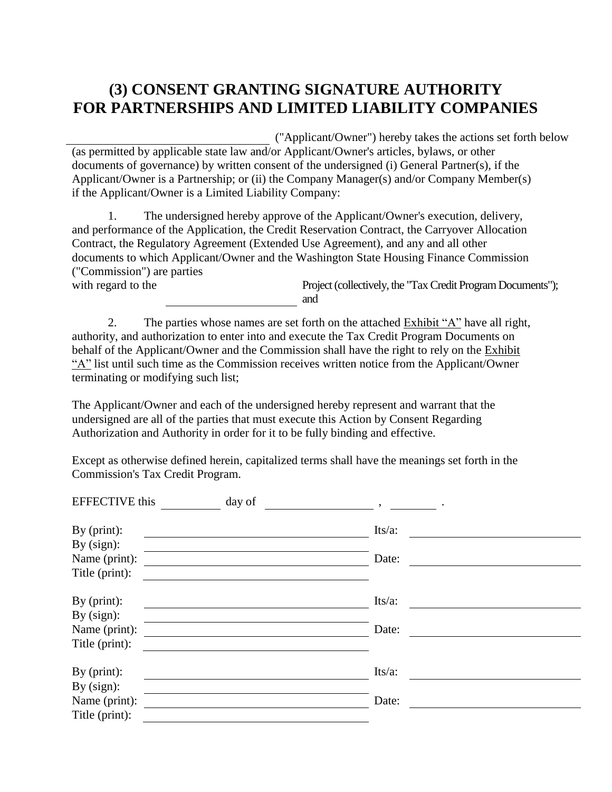# **(3) CONSENT GRANTING SIGNATURE AUTHORITY FOR PARTNERSHIPS AND LIMITED LIABILITY COMPANIES**

("Applicant/Owner") hereby takes the actions set forth below (as permitted by applicable state law and/or Applicant/Owner's articles, bylaws, or other documents of governance) by written consent of the undersigned (i) General Partner(s), if the Applicant/Owner is a Partnership; or (ii) the Company Manager(s) and/or Company Member(s) if the Applicant/Owner is a Limited Liability Company:

1. The undersigned hereby approve of the Applicant/Owner's execution, delivery, and performance of the Application, the Credit Reservation Contract, the Carryover Allocation Contract, the Regulatory Agreement (Extended Use Agreement), and any and all other documents to which Applicant/Owner and the Washington State Housing Finance Commission ("Commission") are parties

with regard to the Project (collectively, the "Tax Credit Program Documents"); and

2. The parties whose names are set forth on the attached Exhibit "A" have all right, authority, and authorization to enter into and execute the Tax Credit Program Documents on behalf of the Applicant/Owner and the Commission shall have the right to rely on the Exhibit "A" list until such time as the Commission receives written notice from the Applicant/Owner terminating or modifying such list;

The Applicant/Owner and each of the undersigned hereby represent and warrant that the undersigned are all of the parties that must execute this Action by Consent Regarding Authorization and Authority in order for it to be fully binding and effective.

Except as otherwise defined herein, capitalized terms shall have the meanings set forth in the Commission's Tax Credit Program.

| <b>EFFECTIVE</b> this | day of | $\overline{\phantom{a}}$ |  |
|-----------------------|--------|--------------------------|--|
| By $(print)$ :        |        | Its/a:                   |  |
| By $(sign)$ :         |        |                          |  |
| Name (print):         |        | Date:                    |  |
| Title (print):        |        |                          |  |
| By $(print)$ :        |        | Its/a:                   |  |
| By $(sign)$ :         |        |                          |  |
| Name (print):         |        | Date:                    |  |
| Title (print):        |        |                          |  |
| By $(print)$ :        |        | $Its/a$ :                |  |
| By $(sign)$ :         |        |                          |  |
| Name (print):         |        | Date:                    |  |
| Title (print):        |        |                          |  |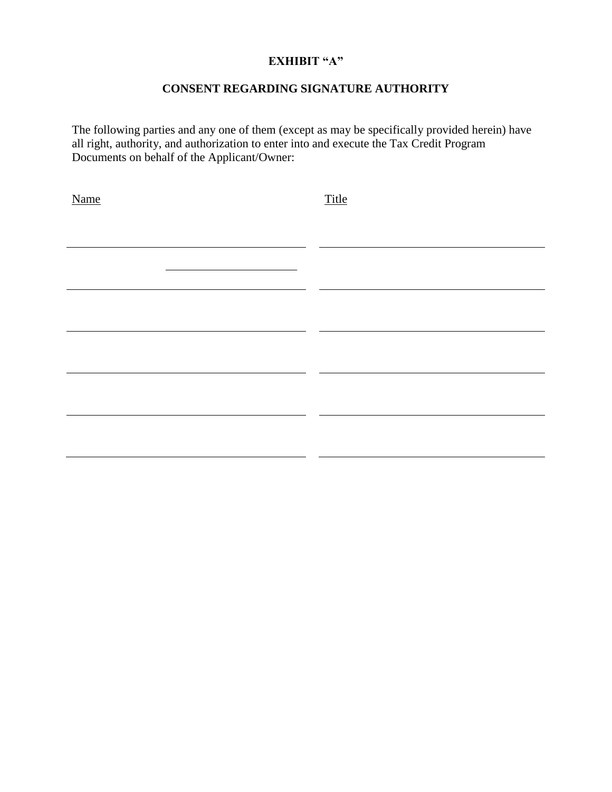#### **EXHIBIT "A"**

#### **CONSENT REGARDING SIGNATURE AUTHORITY**

The following parties and any one of them (except as may be specifically provided herein) have all right, authority, and authorization to enter into and execute the Tax Credit Program Documents on behalf of the Applicant/Owner:

| Name | Title |
|------|-------|
|      |       |
|      |       |
|      |       |
|      |       |
|      |       |
|      |       |
|      |       |
|      |       |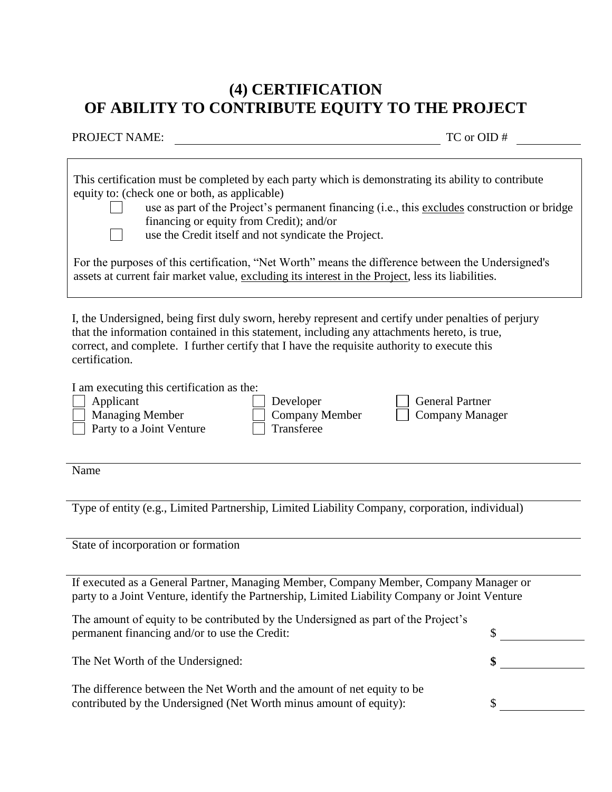### **(4) CERTIFICATION OF ABILITY TO CONTRIBUTE EQUITY TO THE PROJECT**

TC or OID #

| This certification must be completed by each party which is demonstrating its ability to contribute<br>equity to: (check one or both, as applicable)<br>use as part of the Project's permanent financing (i.e., this excludes construction or bridge |  |  |
|------------------------------------------------------------------------------------------------------------------------------------------------------------------------------------------------------------------------------------------------------|--|--|
| financing or equity from Credit); and/or                                                                                                                                                                                                             |  |  |
| use the Credit itself and not syndicate the Project.                                                                                                                                                                                                 |  |  |
| For the purposes of this certification, "Net Worth" means the difference between the Undersigned's<br>assets at current fair market value, excluding its interest in the Project, less its liabilities.                                              |  |  |

I, the Undersigned, being first duly sworn, hereby represent and certify under penalties of perjury that the information contained in this statement, including any attachments hereto, is true, correct, and complete. I further certify that I have the requisite authority to execute this certification.

I am executing this certification as the:

Party to a Joint Venture Transferee

Applicant Developer General Partner Managing Member Company Member Company Manager

Name

Type of entity (e.g., Limited Partnership, Limited Liability Company, corporation, individual)

State of incorporation or formation

If executed as a General Partner, Managing Member, Company Member, Company Manager or party to a Joint Venture, identify the Partnership, Limited Liability Company or Joint Venture

The amount of equity to be contributed by the Undersigned as part of the Project's permanent financing and/or to use the Credit:  $\qquad \qquad$  \$

The Net Worth of the Undersigned: **\$** 

The difference between the Net Worth and the amount of net equity to be contributed by the Undersigned (Net Worth minus amount of equity): \$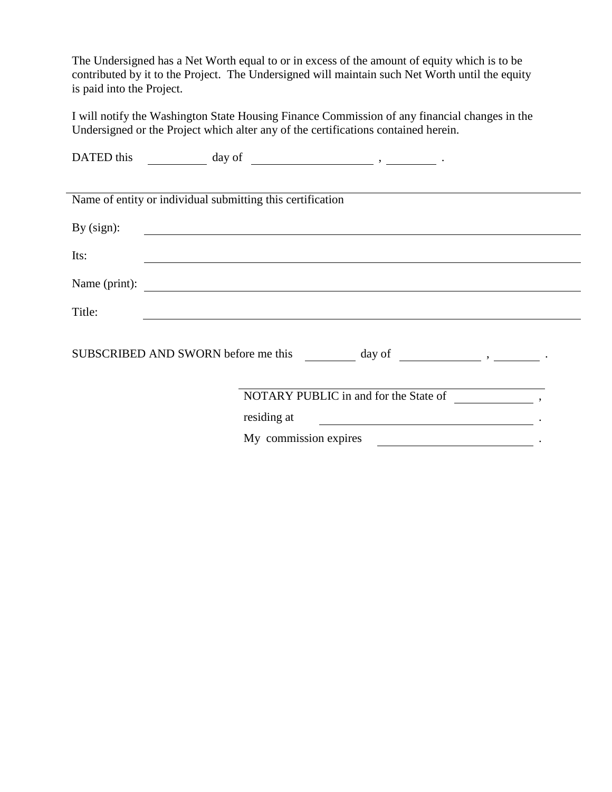The Undersigned has a Net Worth equal to or in excess of the amount of equity which is to be contributed by it to the Project. The Undersigned will maintain such Net Worth until the equity is paid into the Project.

I will notify the Washington State Housing Finance Commission of any financial changes in the Undersigned or the Project which alter any of the certifications contained herein.

| DATED this    | day of $\qquad \qquad$ , $\qquad \qquad$ .                 |  |  |
|---------------|------------------------------------------------------------|--|--|
|               |                                                            |  |  |
|               | Name of entity or individual submitting this certification |  |  |
| By $(sign)$ : |                                                            |  |  |
| Its:          |                                                            |  |  |
| Name (print): | <u> 1980 - Johann Stone, mars et al. (</u>                 |  |  |
| Title:        |                                                            |  |  |
|               |                                                            |  |  |
|               | NOTARY PUBLIC in and for the State of ,                    |  |  |
|               | residing at                                                |  |  |
|               | My commission expires                                      |  |  |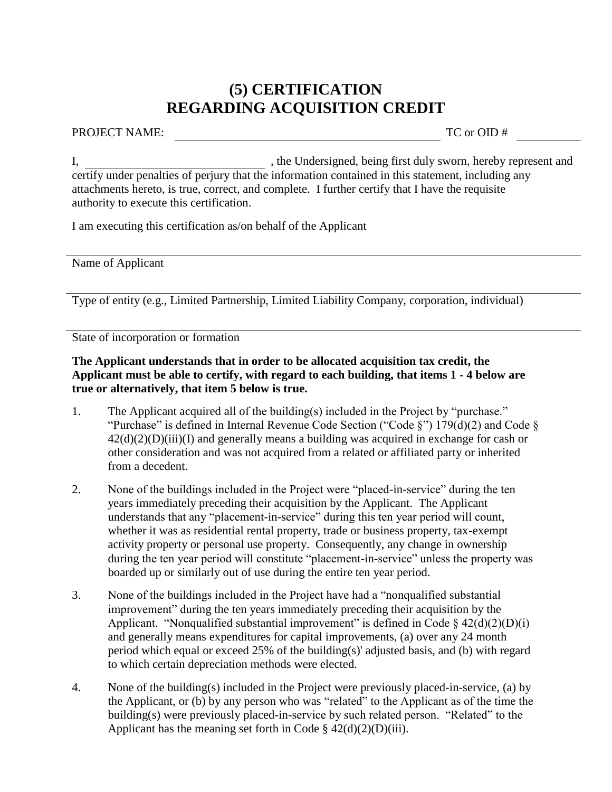### **(5) CERTIFICATION REGARDING ACQUISITION CREDIT**

PROJECT NAME: TC or OID #

I, the Undersigned, being first duly sworn, hereby represent and certify under penalties of perjury that the information contained in this statement, including any attachments hereto, is true, correct, and complete. I further certify that I have the requisite authority to execute this certification.

I am executing this certification as/on behalf of the Applicant

Name of Applicant

Type of entity (e.g., Limited Partnership, Limited Liability Company, corporation, individual)

State of incorporation or formation

**The Applicant understands that in order to be allocated acquisition tax credit, the Applicant must be able to certify, with regard to each building, that items 1 - 4 below are true or alternatively, that item 5 below is true.**

- 1. The Applicant acquired all of the building(s) included in the Project by "purchase." "Purchase" is defined in Internal Revenue Code Section ("Code  $\S$ ") 179(d)(2) and Code  $\S$  $42(d)(2)(D)(iii)(I)$  and generally means a building was acquired in exchange for cash or other consideration and was not acquired from a related or affiliated party or inherited from a decedent.
- 2. None of the buildings included in the Project were "placed-in-service" during the ten years immediately preceding their acquisition by the Applicant. The Applicant understands that any "placement-in-service" during this ten year period will count, whether it was as residential rental property, trade or business property, tax-exempt activity property or personal use property. Consequently, any change in ownership during the ten year period will constitute "placement-in-service" unless the property was boarded up or similarly out of use during the entire ten year period.
- 3. None of the buildings included in the Project have had a "nonqualified substantial improvement" during the ten years immediately preceding their acquisition by the Applicant. "Nonqualified substantial improvement" is defined in Code  $\S$  42(d)(2)(D)(i) and generally means expenditures for capital improvements, (a) over any 24 month period which equal or exceed 25% of the building(s)' adjusted basis, and (b) with regard to which certain depreciation methods were elected.
- 4. None of the building(s) included in the Project were previously placed-in-service, (a) by the Applicant, or (b) by any person who was "related" to the Applicant as of the time the building(s) were previously placed-in-service by such related person. "Related" to the Applicant has the meaning set forth in Code  $\S 42(d)(2)(D)(iii)$ .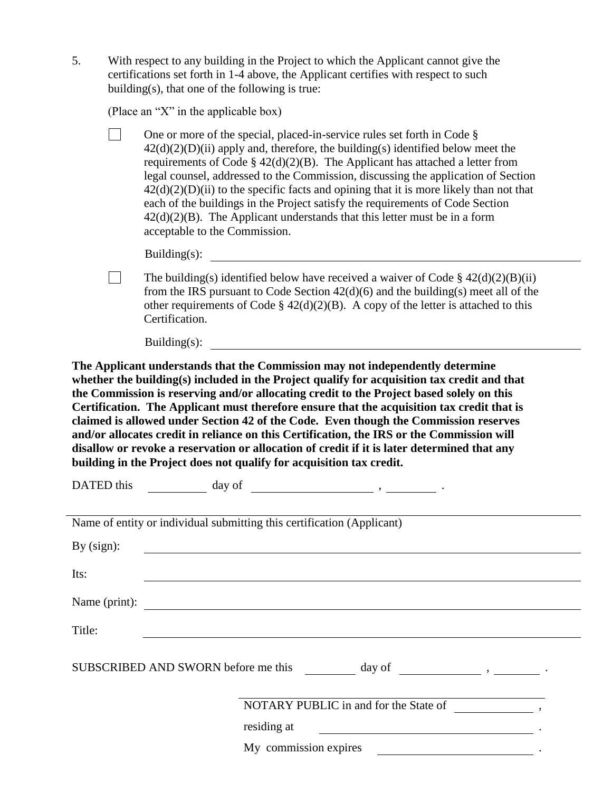| With respect to any building in the Project to which the Applicant cannot give the  |
|-------------------------------------------------------------------------------------|
| certifications set forth in 1-4 above, the Applicant certifies with respect to such |
| building(s), that one of the following is true:                                     |

(Place an "X" in the applicable box)

 $\mathbf{L}$ One or more of the special, placed-in-service rules set forth in Code §  $42(d)(2)(D)(ii)$  apply and, therefore, the building(s) identified below meet the requirements of Code  $\S 42(d)(2)(B)$ . The Applicant has attached a letter from legal counsel, addressed to the Commission, discussing the application of Section  $42(d)(2)(D)(ii)$  to the specific facts and opining that it is more likely than not that each of the buildings in the Project satisfy the requirements of Code Section  $42(d)(2)(B)$ . The Applicant understands that this letter must be in a form acceptable to the Commission.

Building(s):

 $\Box$ The building(s) identified below have received a waiver of Code  $\S$  42(d)(2)(B)(ii) from the IRS pursuant to Code Section 42(d)(6) and the building(s) meet all of the other requirements of Code §  $42(d)(2)(B)$ . A copy of the letter is attached to this Certification.

Building(s):

**The Applicant understands that the Commission may not independently determine whether the building(s) included in the Project qualify for acquisition tax credit and that the Commission is reserving and/or allocating credit to the Project based solely on this Certification. The Applicant must therefore ensure that the acquisition tax credit that is claimed is allowed under Section 42 of the Code. Even though the Commission reserves and/or allocates credit in reliance on this Certification, the IRS or the Commission will disallow or revoke a reservation or allocation of credit if it is later determined that any building in the Project does not qualify for acquisition tax credit.**

|               | DATED this $\qquad \qquad \qquad \text{day of} \qquad \qquad \qquad \text{.}$                                                        |  |
|---------------|--------------------------------------------------------------------------------------------------------------------------------------|--|
|               | Name of entity or individual submitting this certification (Applicant)                                                               |  |
| By $(sign)$ : | <u> 1989 - Johann Stoff, deutscher Stoffen und der Stoffen und der Stoffen und der Stoffen und der Stoffen und der</u>               |  |
| Its:          |                                                                                                                                      |  |
|               | Name (print):                                                                                                                        |  |
| Title:        |                                                                                                                                      |  |
|               |                                                                                                                                      |  |
|               | NOTARY PUBLIC in and for the State of (NOTARY PUBLIC in and for the State of )                                                       |  |
|               | residing at<br><u> 1980 - Jan Samuel Barbara, política establecera en la contrada de la contrada de la contrada de la contrada d</u> |  |
|               |                                                                                                                                      |  |